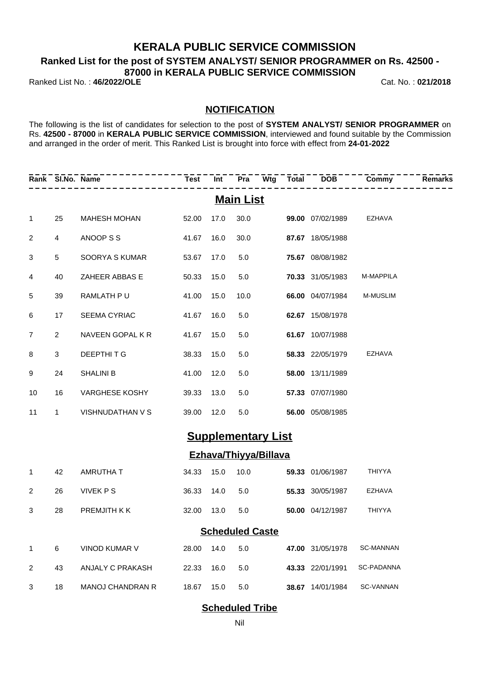## **KERALA PUBLIC SERVICE COMMISSION**

**Ranked List for the post of SYSTEM ANALYST/ SENIOR PROGRAMMER on Rs. 42500 -**

**87000 in KERALA PUBLIC SERVICE COMMISSION**

Ranked List No. : **46/2022/OLE** Cat. No. : **021/2018**

### **NOTIFICATION**

The following is the list of candidates for selection to the post of **SYSTEM ANALYST/ SENIOR PROGRAMMER** on Rs. **42500 - 87000** in **KERALA PUBLIC SERVICE COMMISSION**, interviewed and found suitable by the Commission and arranged in the order of merit. This Ranked List is brought into force with effect from **24-01-2022**

|                | Rank SI.No. Name |                     | Test       | <b>Int</b> |                  |                           | Pra Wtg Total DOB Commy |                 | <b>Remarks</b> |
|----------------|------------------|---------------------|------------|------------|------------------|---------------------------|-------------------------|-----------------|----------------|
|                |                  |                     |            |            | <b>Main List</b> |                           |                         |                 |                |
| $\mathbf{1}$   | 25               | <b>MAHESH MOHAN</b> | 52.00      | 17.0       | 30.0             |                           | 99.00 07/02/1989        | <b>EZHAVA</b>   |                |
| 2              | $\overline{4}$   | ANOOP S S           | 41.67      | 16.0       | 30.0             |                           | 87.67 18/05/1988        |                 |                |
| 3              | 5                | SOORYA S KUMAR      | 53.67      | 17.0       | 5.0              |                           | 75.67 08/08/1982        |                 |                |
| 4              | 40               | ZAHEER ABBAS E      | 50.33      | 15.0       | 5.0              |                           | 70.33 31/05/1983        | M-MAPPILA       |                |
| $\sqrt{5}$     | 39               | RAMLATH PU          | 41.00      | 15.0       | 10.0             |                           | 66.00 04/07/1984        | <b>M-MUSLIM</b> |                |
| 6              | 17               | SEEMA CYRIAC        | 41.67      | 16.0       | 5.0              |                           | 62.67 15/08/1978        |                 |                |
| $\overline{7}$ | $\overline{2}$   | NAVEEN GOPAL K R    | 41.67      | 15.0       | 5.0              |                           | 61.67 10/07/1988        |                 |                |
| 8              | 3                | DEEPTHITG           | 38.33      | 15.0       | 5.0              |                           | 58.33 22/05/1979        | <b>EZHAVA</b>   |                |
| 9              | 24               | <b>SHALINI B</b>    | 41.00      | 12.0       | 5.0              |                           | 58.00 13/11/1989        |                 |                |
| 10             | 16               | VARGHESE KOSHY      | 39.33      | 13.0       | 5.0              |                           | 57.33 07/07/1980        |                 |                |
| 11             | $\mathbf{1}$     | VISHNUDATHAN V S    | 39.00      | 12.0       | 5.0              |                           | 56.00 05/08/1985        |                 |                |
|                |                  |                     |            |            |                  | <b>Supplementary List</b> |                         |                 |                |
|                |                  |                     |            |            |                  | Ezhava/Thiyya/Billava     |                         |                 |                |
| $\mathbf{1}$   | 42               | AMRUTHA T           | 34.33      | 15.0       | 10.0             |                           | 59.33 01/06/1987        | THIYYA          |                |
| $\overline{2}$ | 26               | <b>VIVEK PS</b>     | 36.33      | 14.0       | 5.0              |                           | 55.33 30/05/1987        | <b>EZHAVA</b>   |                |
| 3              | 28               | PREMJITH K K        | 32.00 13.0 |            | 5.0              |                           | 50.00 04/12/1987        | <b>THIYYA</b>   |                |

### **Scheduled Caste**

|   | 6  | VINOD KUMAR V    | 28.00 | 14.0 | 5.0 | <b>47.00</b> 31/05/1978 | SC-MANNAN  |
|---|----|------------------|-------|------|-----|-------------------------|------------|
|   | 43 | ANJALY C PRAKASH | 22.33 | 16.0 | 5.0 | 43.33 22/01/1991        | SC-PADANNA |
| 3 | 18 | MANOJ CHANDRAN R | 18.67 | 15.0 | 5.0 | 38.67 14/01/1984        | SC-VANNAN  |

### **Scheduled Tribe**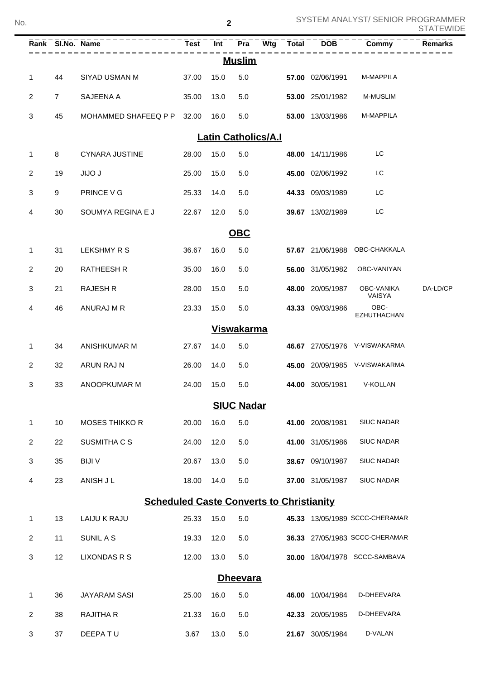| No. | SYSTEM ANALYST/ SENIOR PROGRAMMER<br>$\overline{\mathbf{2}}$ |                |                                                                   |       |            |                            |     | <b>STATEWIDE</b> |                  |                                |                |
|-----|--------------------------------------------------------------|----------------|-------------------------------------------------------------------|-------|------------|----------------------------|-----|------------------|------------------|--------------------------------|----------------|
|     |                                                              |                | <u>------------------------------</u><br>Rank SI.No. Name Test In |       | <b>Int</b> | Pra                        | Wtg | <b>Total</b>     | <b>DOB</b>       | Commy                          | <b>Remarks</b> |
|     |                                                              |                |                                                                   |       |            | <b>Muslim</b>              |     |                  |                  |                                |                |
|     | $\mathbf{1}$                                                 | 44             | SIYAD USMAN M                                                     | 37.00 | 15.0       | 5.0                        |     |                  | 57.00 02/06/1991 | M-MAPPILA                      |                |
|     | 2                                                            | $\overline{7}$ | SAJEENA A                                                         | 35.00 | 13.0       | 5.0                        |     |                  | 53.00 25/01/1982 | <b>M-MUSLIM</b>                |                |
|     | 3                                                            | 45             | MOHAMMED SHAFEEQ P P                                              | 32.00 | 16.0       | 5.0                        |     |                  | 53.00 13/03/1986 | M-MAPPILA                      |                |
|     |                                                              |                |                                                                   |       |            | <b>Latin Catholics/A.I</b> |     |                  |                  |                                |                |
|     | $\mathbf{1}$                                                 | 8              | <b>CYNARA JUSTINE</b>                                             | 28.00 | 15.0       | 5.0                        |     |                  | 48.00 14/11/1986 | LC                             |                |
|     | $\overline{2}$                                               | 19             | <b>JIJO J</b>                                                     | 25.00 | 15.0       | 5.0                        |     |                  | 45.00 02/06/1992 | LC                             |                |
|     | 3                                                            | 9              | PRINCE V G                                                        | 25.33 | 14.0       | 5.0                        |     |                  | 44.33 09/03/1989 | LC                             |                |
|     | 4                                                            | 30             | SOUMYA REGINA E J                                                 | 22.67 | 12.0       | 5.0                        |     |                  | 39.67 13/02/1989 | LC                             |                |
|     |                                                              |                |                                                                   |       |            | <b>OBC</b>                 |     |                  |                  |                                |                |
|     | $\mathbf{1}$                                                 | 31             | <b>LEKSHMY R S</b>                                                | 36.67 | 16.0       | 5.0                        |     |                  | 57.67 21/06/1988 | OBC-CHAKKALA                   |                |
|     | $\overline{2}$                                               | 20             | <b>RATHEESH R</b>                                                 | 35.00 | 16.0       | 5.0                        |     |                  | 56.00 31/05/1982 | OBC-VANIYAN                    |                |
|     | 3                                                            | 21             | <b>RAJESH R</b>                                                   | 28.00 | 15.0       | 5.0                        |     |                  | 48.00 20/05/1987 | OBC-VANIKA<br>VAISYA           | DA-LD/CP       |
|     | 4                                                            | 46             | ANURAJ M R                                                        | 23.33 | 15.0       | 5.0                        |     |                  | 43.33 09/03/1986 | OBC-<br><b>EZHUTHACHAN</b>     |                |
|     |                                                              |                |                                                                   |       |            | <b>Viswakarma</b>          |     |                  |                  |                                |                |
|     | $\mathbf{1}$                                                 | 34             | <b>ANISHKUMAR M</b>                                               | 27.67 | 14.0       | 5.0                        |     |                  |                  | 46.67 27/05/1976 V-VISWAKARMA  |                |
|     | $\overline{2}$                                               | 32             | ARUN RAJ N                                                        | 26.00 | 14.0       | 5.0                        |     |                  |                  | 45.00 20/09/1985 V-VISWAKARMA  |                |
|     | 3                                                            | 33             | ANOOPKUMAR M                                                      | 24.00 | 15.0       | 5.0                        |     |                  | 44.00 30/05/1981 | V-KOLLAN                       |                |
|     |                                                              |                |                                                                   |       |            | <b>SIUC Nadar</b>          |     |                  |                  |                                |                |
|     | $\mathbf{1}$                                                 | 10             | MOSES THIKKO R                                                    | 20.00 | 16.0       | 5.0                        |     |                  | 41.00 20/08/1981 | <b>SIUC NADAR</b>              |                |
|     | $\mathbf{2}$                                                 | 22             | SUSMITHA C S                                                      | 24.00 | 12.0       | 5.0                        |     |                  | 41.00 31/05/1986 | <b>SIUC NADAR</b>              |                |
|     | $\mathbf{3}$                                                 | 35             | <b>BIJIV</b>                                                      | 20.67 | 13.0       | 5.0                        |     |                  | 38.67 09/10/1987 | <b>SIUC NADAR</b>              |                |
|     | $\overline{4}$                                               | 23             | ANISH J L                                                         | 18.00 | 14.0       | 5.0                        |     |                  | 37.00 31/05/1987 | <b>SIUC NADAR</b>              |                |
|     |                                                              |                | <b>Scheduled Caste Converts to Christianity</b>                   |       |            |                            |     |                  |                  |                                |                |
|     | $\mathbf{1}$                                                 | 13             | LAIJU K RAJU                                                      | 25.33 | 15.0       | 5.0                        |     |                  |                  | 45.33 13/05/1989 SCCC-CHERAMAR |                |
|     | $\overline{2}$                                               | 11             | SUNIL A S                                                         | 19.33 | 12.0       | 5.0                        |     |                  |                  | 36.33 27/05/1983 SCCC-CHERAMAR |                |
|     | 3                                                            | 12             | <b>LIXONDAS R S</b>                                               | 12.00 | 13.0       | 5.0                        |     |                  |                  | 30.00 18/04/1978 SCCC-SAMBAVA  |                |
|     |                                                              |                |                                                                   |       |            | <b>Dheevara</b>            |     |                  |                  |                                |                |
|     | $\mathbf 1$                                                  | 36             | JAYARAM SASI                                                      | 25.00 | 16.0       | 5.0                        |     |                  | 46.00 10/04/1984 | D-DHEEVARA                     |                |
|     | $\overline{2}$                                               | 38             | RAJITHA R                                                         | 21.33 | 16.0       | 5.0                        |     |                  | 42.33 20/05/1985 | D-DHEEVARA                     |                |
|     | 3                                                            | 37             | DEEPATU                                                           | 3.67  | 13.0       | $5.0\,$                    |     |                  | 21.67 30/05/1984 | D-VALAN                        |                |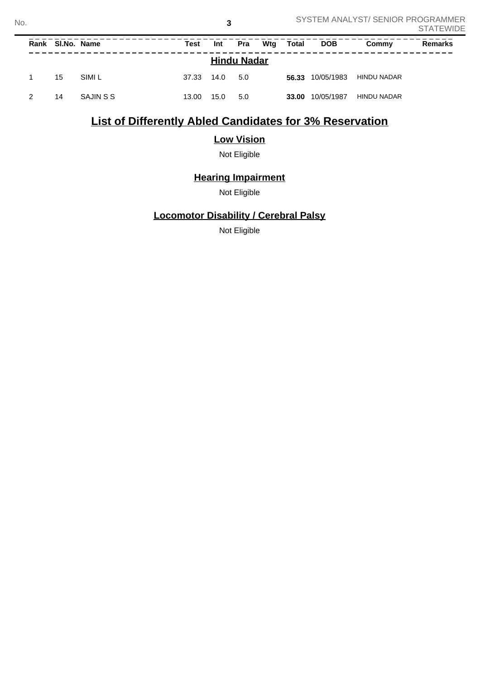**3**

# **List of Differently Abled Candidates for 3% Reservation**

## **Low Vision**

Not Eligible

# **Hearing Impairment**

Not Eligible

### **Locomotor Disability / Cerebral Palsy**

Not Eligible